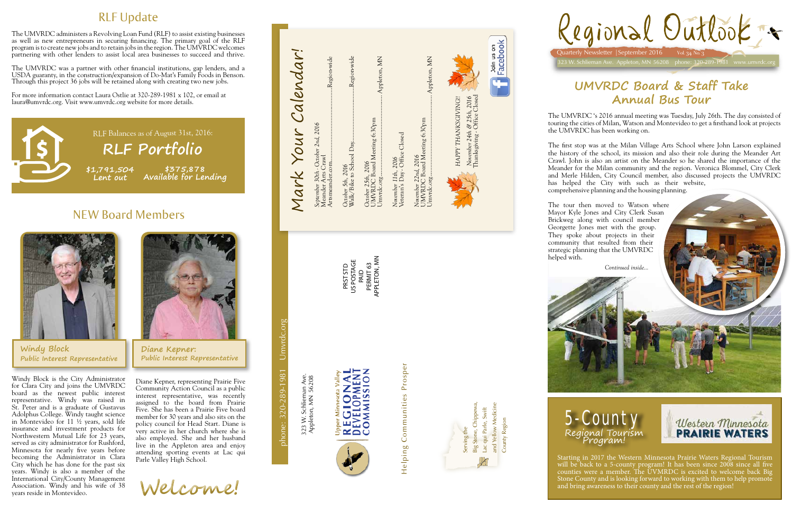**UMVRDC Board & Staff Take Annual Bus Tour** 



County Region County Region

Helping Communities Prosper Helping Communities Prosper

phone: 320-289-1981 Umvrdc.org

phone: 320-289-1981

Umvrdc.org



323 W. Schlieman Ave. 323 W. Schlieman Ave<br>Appleton, MN 56208 Appleton, MN 56208

PRST STD US POSTAGE PRST STD<br>US POSTAGE<br>PAID<br>PERMIT 63<br>APPLETON, MN PERMIT 63 APPLETON, MN

Calendar! Mark Your Calendar! Walk/Bike to School Day...................................Region-wide Umvrdc.org.................................................... Appleton, MN Umvrdc.org.................................................... Appleton, MN Artsmeander.com...............................................Region-wide Appleton, MN ..Region-wide Region-wide Appleton, MN HAPPY THANKSGIVING!! *HAPPY THANKSGIVING!!* UMVRDC Board Meeting 6:30pm UMVRDC Board Meeting 6:30pm *September 30th - October 2nd, 2016* Mark Your November 11th, 2016<br>Veteran's Day - Office Closed Veteran's Day - Office Closed October 5th, 2016<br>Walk/Bike to School Day. Meander Arts Crawl *November 22nd, 2016 November 11th, 2016 October 25th, 2016 October 5th, 2016*



Continued inside.





*Continued inside...*

Diane Kepner, representing Prairie Five Community Action Council as a public interest representative, was recently assigned to the board from Prairie Five. She has been a Prairie Five board member for 30 years and also sits on the policy council for Head Start. Diane is very active in her church where she is also employed. She and her husband live in the Appleton area and enjoy attending sporting events at Lac qui Parle Valley High School.



Join us on<br>Facebook

Ċ

The UMVRDC administers a Revolving Loan Fund (RLF) to assist existing businesses as well as new entrepreneurs in securing financing. The primary goal of the RLF program is to create new jobs and to retain jobs in the region. The UMVRDC welcomes partnering with other lenders to assist local area businesses to succeed and thrive.

**\$1,791,504 Lent out \$375,878 Available for Lending** RLF Balances as of August 31st, 2016: **RLF Portfolio** 

The UMVRDC was a partner with other financial institutions, gap lenders, and a USDA guaranty, in the construction/expansion of Do-Mat's Family Foods in Benson. Through this project 36 jobs will be retained along with creating two new jobs.

For more information contact Laura Ostlie at 320-289-1981 x 102, or email at laura@umvrdc.org. Visit www.umvrdc.org website for more details.

# NEW Board Members



# RLF Update

Windy Block is the City Administrator for Clara City and joins the UMVRDC board as the newest public interest representative. Windy was raised in St. Peter and is a graduate of Gustavus Adolphus College. Windy taught science in Montevideo for 11 ½ years, sold life insurance and investment products for Northwestern Mutual Life for 23 years, served as city administrator for Rushford, Minnesota for nearly five years before becoming the Administrator in Clara City which he has done for the past six years. Windy is also a member of the International City/County Management Association. Windy and his wife of 38 years reside in Montevideo.



The UMVRDC 's 2016 annual meeting was Tuesday, July 26th. The day consisted of touring the cities of Milan, Watson and Montevideo to get a firsthand look at projects the UMVRDC has been working on.

The first stop was at the Milan Village Arts School where John Larson explained the history of the school, its mission and also their role during the Meander Art Crawl. John is also an artist on the Meander so he shared the importance of the Meander for the Milan community and the region. Veronica Blommel, City Clerk and Merle Hilden, City Council member, also discussed projects the UMVRDC has helped the City with such as their website, comprehensive planning and the housing planning.

The tour then moved to Watson where Mayor Kyle Jones and City Clerk Susan Brickweg along with council member Georgette Jones met with the group. They spoke about projects in their community that resulted from their strategic planning that the UMVRDC

helped with.





Starting in 2017 the Western Minnesota Prairie Waters Regional Tourism will be back to a 5-county program! It has been since 2008 since all five counties were a member. The UVMRDC is excited to welcome back Big Stone County and is looking forward to working with them to help promote and bring awareness to their county and the rest of the region!

**Windy Block Public Interest Representative**

**Welcome!**

**Diane Kepner: Public Interest Representative**